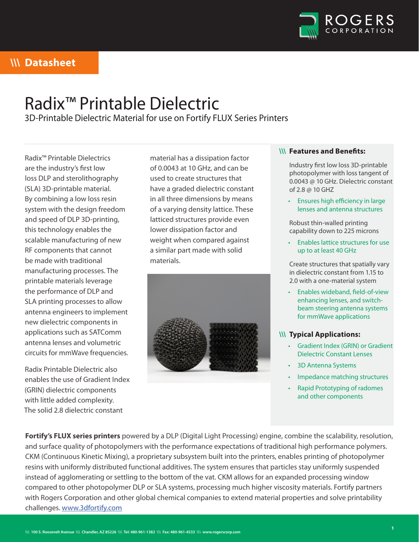

## Radix™ Printable Dielectric

3D-Printable Dielectric Material for use on Fortify FLUX Series Printers

Radix™ Printable Dielectrics are the industry's first low loss DLP and sterolithography (SLA) 3D-printable material. By combining a low loss resin system with the design freedom and speed of DLP 3D-printing, this technology enables the scalable manufacturing of new RF components that cannot be made with traditional manufacturing processes. The printable materials leverage the performance of DLP and SLA printing processes to allow antenna engineers to implement new dielectric components in applications such as SATComm antenna lenses and volumetric circuits for mmWave frequencies.

Radix Printable Dielectric also enables the use of Gradient Index (GRIN) dielectric components with little added complexity. The solid 2.8 dielectric constant

material has a dissipation factor of 0.0043 at 10 GHz, and can be used to create structures that have a graded dielectric constant in all three dimensions by means of a varying density lattice. These latticed structures provide even lower dissipation factor and weight when compared against a similar part made with solid materials.



## **\\\ Features and Benefits:**

Industry first low loss 3D-printable photopolymer with loss tangent of 0.0043 @ 10 GHz. Dielectric constant of 2.8 @ 10 GHZ

• Ensures high efficiency in large lenses and antenna structures

Robust thin-walled printing capability down to 225 microns

• Enables lattice structures for use up to at least 40 GHz

Create structures that spatially vary in dielectric constant from 1.15 to 2.0 with a one-material system

• Enables wideband, field-of-view enhancing lenses, and switchbeam steering antenna systems for mmWave applications

## **\\\ Typical Applications:**

- Gradient Index (GRIN) or Gradient Dielectric Constant Lenses
- 3D Antenna Systems
- Impedance matching structures
- Rapid Prototyping of radomes and other components

**Fortify's FLUX series printers** powered by a DLP (Digital Light Processing) engine, combine the scalability, resolution, and surface quality of photopolymers with the performance expectations of traditional high performance polymers. CKM (Continuous Kinetic Mixing), a proprietary subsystem built into the printers, enables printing of photopolymer resins with uniformly distributed functional additives. The system ensures that particles stay uniformly suspended instead of agglomerating or settling to the bottom of the vat. CKM allows for an expanded processing window compared to other photopolymer DLP or SLA systems, processing much higher viscosity materials. Fortify partners with Rogers Corporation and other global chemical companies to extend material properties and solve printability challenges. www.3dfortify.com